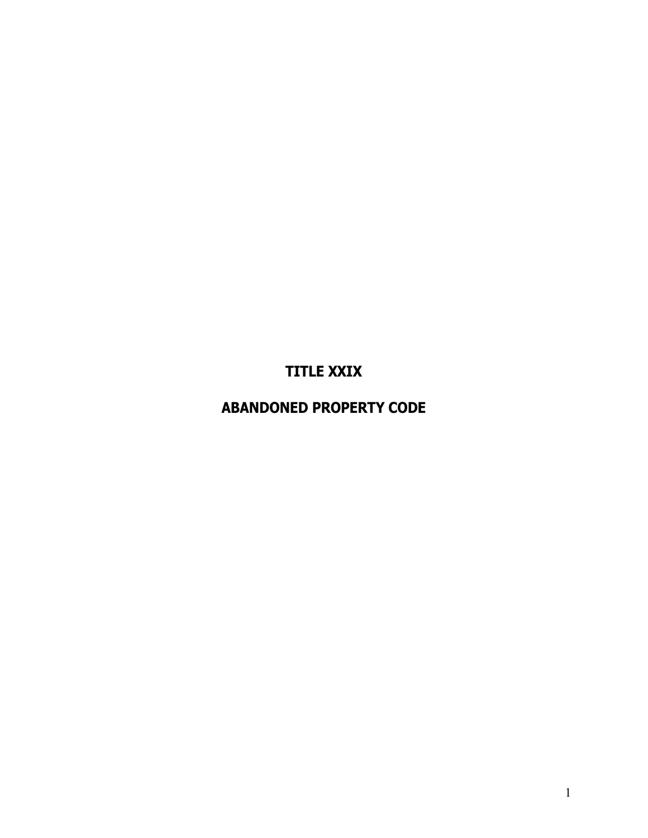**TITLE XXIX**

**ABANDONED PROPERTY CODE**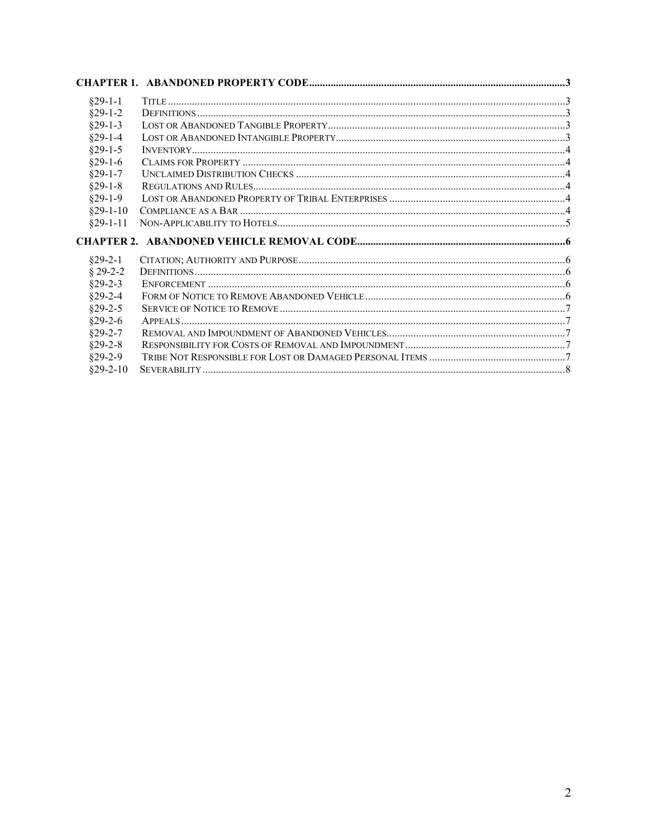| $§29-1-1$  |  |
|------------|--|
| $§29-1-2$  |  |
| $§29-1-3$  |  |
| $§29-1-4$  |  |
| $§29-1-5$  |  |
| $§29-1-6$  |  |
| $§29-1-7$  |  |
| $§29-1-8$  |  |
| $§29-1-9$  |  |
| $§29-1-10$ |  |
| $§29-1-11$ |  |
|            |  |
| $§29-2-1$  |  |
| $§ 29-2-2$ |  |
| $§29-2-3$  |  |
| $$29-2-4$  |  |
| $§29-2-5$  |  |
| $§29-2-6$  |  |
| $§29-2-7$  |  |
| $§29-2-8$  |  |
|            |  |
| $§29-2-9$  |  |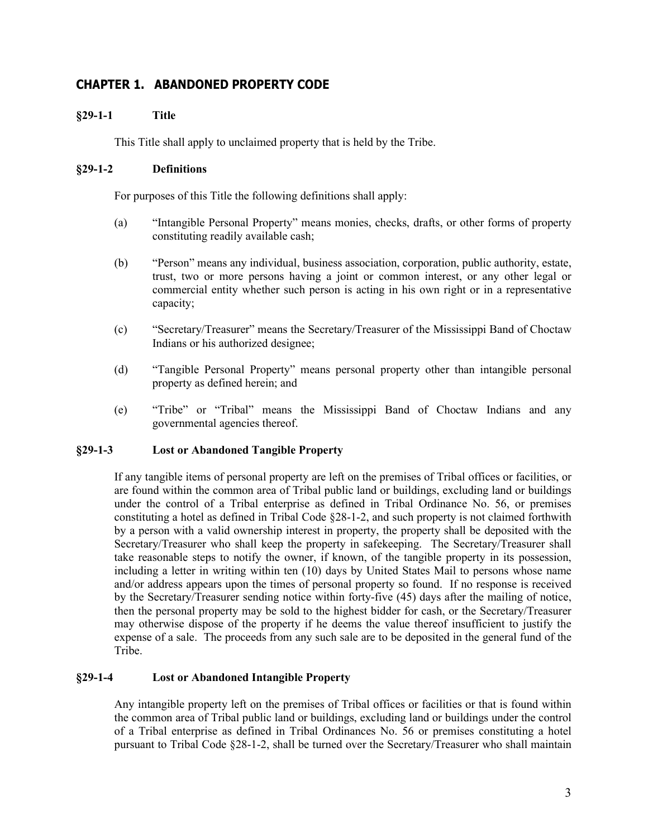# <span id="page-2-0"></span>**CHAPTER 1. ABANDONED PROPERTY CODE**

# <span id="page-2-1"></span>**§29-1-1 Title**

This Title shall apply to unclaimed property that is held by the Tribe.

## <span id="page-2-2"></span>**§29-1-2 Definitions**

For purposes of this Title the following definitions shall apply:

- (a) "Intangible Personal Property" means monies, checks, drafts, or other forms of property constituting readily available cash;
- (b) "Person" means any individual, business association, corporation, public authority, estate, trust, two or more persons having a joint or common interest, or any other legal or commercial entity whether such person is acting in his own right or in a representative capacity;
- (c) "Secretary/Treasurer" means the Secretary/Treasurer of the Mississippi Band of Choctaw Indians or his authorized designee;
- (d) "Tangible Personal Property" means personal property other than intangible personal property as defined herein; and
- (e) "Tribe" or "Tribal" means the Mississippi Band of Choctaw Indians and any governmental agencies thereof.

# <span id="page-2-3"></span>**§29-1-3 Lost or Abandoned Tangible Property**

If any tangible items of personal property are left on the premises of Tribal offices or facilities, or are found within the common area of Tribal public land or buildings, excluding land or buildings under the control of a Tribal enterprise as defined in Tribal Ordinance No. 56, or premises constituting a hotel as defined in Tribal Code §28-1-2, and such property is not claimed forthwith by a person with a valid ownership interest in property, the property shall be deposited with the Secretary/Treasurer who shall keep the property in safekeeping. The Secretary/Treasurer shall take reasonable steps to notify the owner, if known, of the tangible property in its possession, including a letter in writing within ten (10) days by United States Mail to persons whose name and/or address appears upon the times of personal property so found. If no response is received by the Secretary/Treasurer sending notice within forty-five (45) days after the mailing of notice, then the personal property may be sold to the highest bidder for cash, or the Secretary/Treasurer may otherwise dispose of the property if he deems the value thereof insufficient to justify the expense of a sale. The proceeds from any such sale are to be deposited in the general fund of the Tribe.

### <span id="page-2-4"></span>**§29-1-4 Lost or Abandoned Intangible Property**

Any intangible property left on the premises of Tribal offices or facilities or that is found within the common area of Tribal public land or buildings, excluding land or buildings under the control of a Tribal enterprise as defined in Tribal Ordinances No. 56 or premises constituting a hotel pursuant to Tribal Code §28-1-2, shall be turned over the Secretary/Treasurer who shall maintain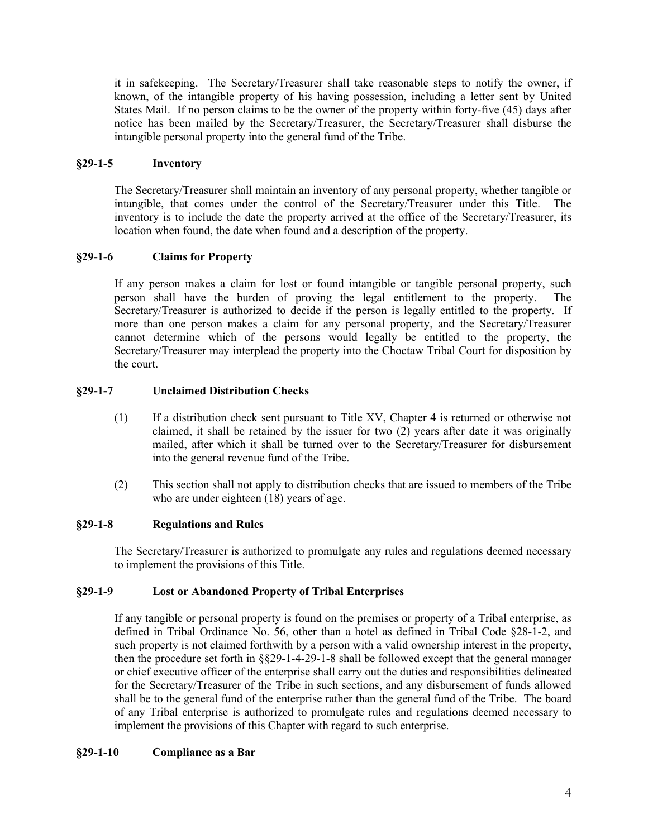it in safekeeping. The Secretary/Treasurer shall take reasonable steps to notify the owner, if known, of the intangible property of his having possession, including a letter sent by United States Mail. If no person claims to be the owner of the property within forty-five (45) days after notice has been mailed by the Secretary/Treasurer, the Secretary/Treasurer shall disburse the intangible personal property into the general fund of the Tribe.

## <span id="page-3-0"></span>**§29-1-5 Inventory**

The Secretary/Treasurer shall maintain an inventory of any personal property, whether tangible or intangible, that comes under the control of the Secretary/Treasurer under this Title. The inventory is to include the date the property arrived at the office of the Secretary/Treasurer, its location when found, the date when found and a description of the property.

## <span id="page-3-1"></span>**§29-1-6 Claims for Property**

If any person makes a claim for lost or found intangible or tangible personal property, such person shall have the burden of proving the legal entitlement to the property. The Secretary/Treasurer is authorized to decide if the person is legally entitled to the property. If more than one person makes a claim for any personal property, and the Secretary/Treasurer cannot determine which of the persons would legally be entitled to the property, the Secretary/Treasurer may interplead the property into the Choctaw Tribal Court for disposition by the court.

### <span id="page-3-2"></span>**§29-1-7 Unclaimed Distribution Checks**

- (1) If a distribution check sent pursuant to Title XV, Chapter 4 is returned or otherwise not claimed, it shall be retained by the issuer for two (2) years after date it was originally mailed, after which it shall be turned over to the Secretary/Treasurer for disbursement into the general revenue fund of the Tribe.
- (2) This section shall not apply to distribution checks that are issued to members of the Tribe who are under eighteen (18) years of age.

### <span id="page-3-3"></span>**§29-1-8 Regulations and Rules**

The Secretary/Treasurer is authorized to promulgate any rules and regulations deemed necessary to implement the provisions of this Title.

### <span id="page-3-4"></span>**§29-1-9 Lost or Abandoned Property of Tribal Enterprises**

If any tangible or personal property is found on the premises or property of a Tribal enterprise, as defined in Tribal Ordinance No. 56, other than a hotel as defined in Tribal Code §28-1-2, and such property is not claimed forthwith by a person with a valid ownership interest in the property, then the procedure set forth in §§29-1-4-29-1-8 shall be followed except that the general manager or chief executive officer of the enterprise shall carry out the duties and responsibilities delineated for the Secretary/Treasurer of the Tribe in such sections, and any disbursement of funds allowed shall be to the general fund of the enterprise rather than the general fund of the Tribe. The board of any Tribal enterprise is authorized to promulgate rules and regulations deemed necessary to implement the provisions of this Chapter with regard to such enterprise.

### <span id="page-3-5"></span>**§29-1-10 Compliance as a Bar**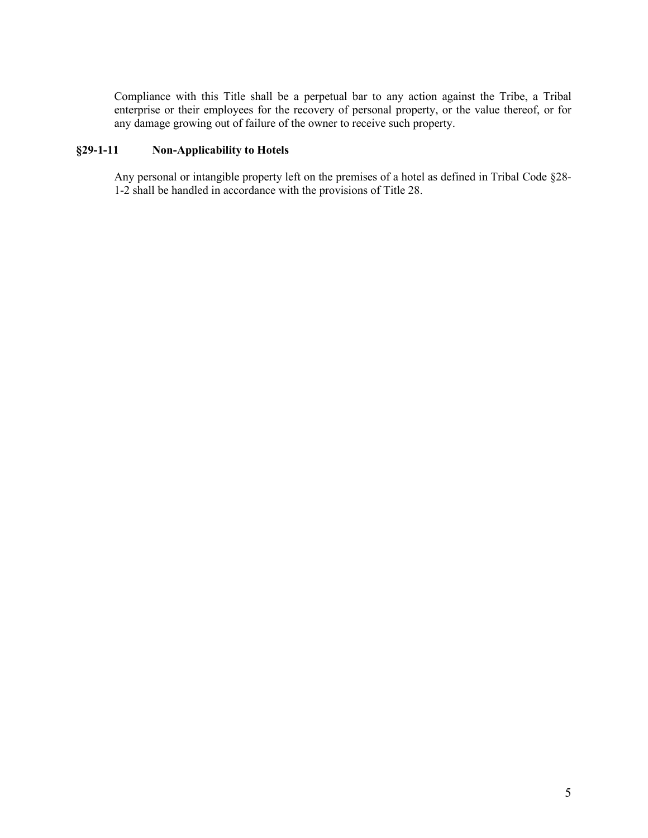Compliance with this Title shall be a perpetual bar to any action against the Tribe, a Tribal enterprise or their employees for the recovery of personal property, or the value thereof, or for any damage growing out of failure of the owner to receive such property.

### <span id="page-4-0"></span>**§29-1-11 Non-Applicability to Hotels**

Any personal or intangible property left on the premises of a hotel as defined in Tribal Code §28- 1-2 shall be handled in accordance with the provisions of Title 28.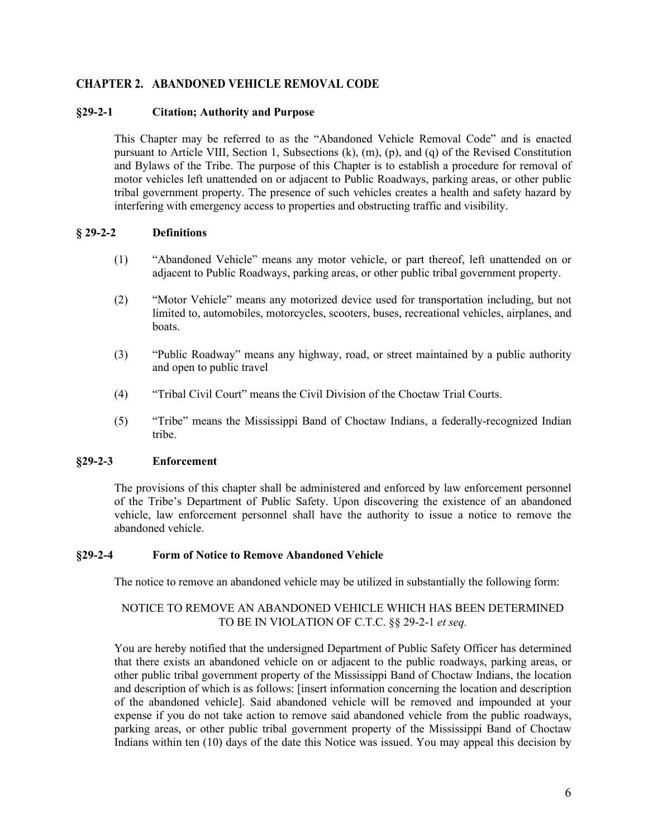# <span id="page-5-0"></span>**CHAPTER 2. ABANDONED VEHICLE REMOVAL CODE**

### <span id="page-5-1"></span>**§29-2-1 Citation; Authority and Purpose**

This Chapter may be referred to as the "Abandoned Vehicle Removal Code" and is enacted pursuant to Article VIII, Section 1, Subsections  $(k)$ ,  $(m)$ ,  $(p)$ , and  $(q)$  of the Revised Constitution and Bylaws of the Tribe. The purpose of this Chapter is to establish a procedure for removal of motor vehicles left unattended on or adjacent to Public Roadways, parking areas, or other public tribal government property. The presence of such vehicles creates a health and safety hazard by interfering with emergency access to properties and obstructing traffic and visibility.

### <span id="page-5-2"></span>**§ 29-2-2 Definitions**

- (1) "Abandoned Vehicle" means any motor vehicle, or part thereof, left unattended on or adjacent to Public Roadways, parking areas, or other public tribal government property.
- (2) "Motor Vehicle" means any motorized device used for transportation including, but not limited to, automobiles, motorcycles, scooters, buses, recreational vehicles, airplanes, and boats.
- (3) "Public Roadway" means any highway, road, or street maintained by a public authority and open to public travel
- (4) "Tribal Civil Court" means the Civil Division of the Choctaw Trial Courts.
- (5) "Tribe" means the Mississippi Band of Choctaw Indians, a federally-recognized Indian tribe.

### <span id="page-5-3"></span>**§29-2-3 Enforcement**

The provisions of this chapter shall be administered and enforced by law enforcement personnel of the Tribe's Department of Public Safety. Upon discovering the existence of an abandoned vehicle, law enforcement personnel shall have the authority to issue a notice to remove the abandoned vehicle.

### <span id="page-5-4"></span>**§29-2-4 Form of Notice to Remove Abandoned Vehicle**

The notice to remove an abandoned vehicle may be utilized in substantially the following form:

## NOTICE TO REMOVE AN ABANDONED VEHICLE WHICH HAS BEEN DETERMINED TO BE IN VIOLATION OF C.T.C. §§ 29-2-1 *et seq.*

You are hereby notified that the undersigned Department of Public Safety Officer has determined that there exists an abandoned vehicle on or adjacent to the public roadways, parking areas, or other public tribal government property of the Mississippi Band of Choctaw Indians, the location and description of which is as follows: [insert information concerning the location and description of the abandoned vehicle]. Said abandoned vehicle will be removed and impounded at your expense if you do not take action to remove said abandoned vehicle from the public roadways, parking areas, or other public tribal government property of the Mississippi Band of Choctaw Indians within ten (10) days of the date this Notice was issued. You may appeal this decision by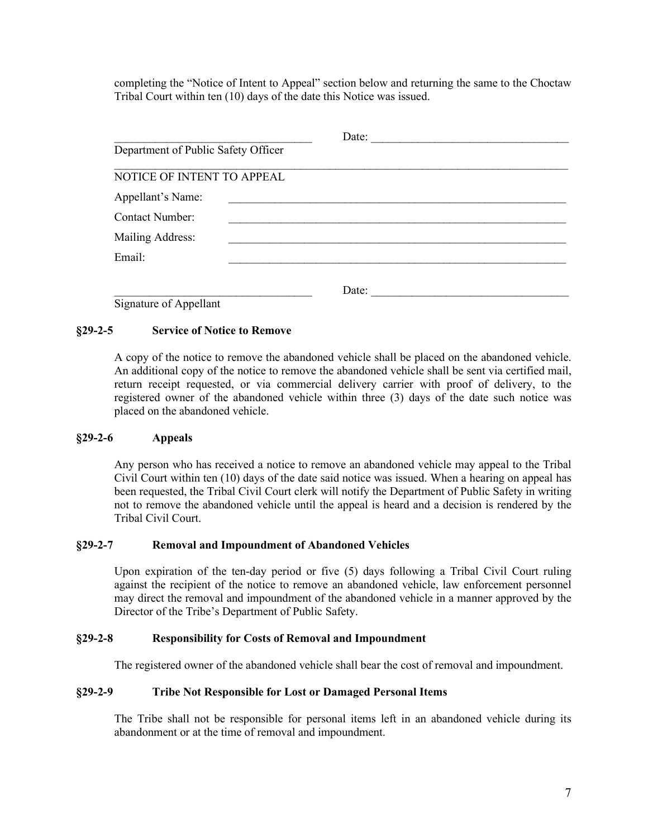completing the "Notice of Intent to Appeal" section below and returning the same to the Choctaw Tribal Court within ten (10) days of the date this Notice was issued.

|                                     | Date: |  |
|-------------------------------------|-------|--|
| Department of Public Safety Officer |       |  |
| NOTICE OF INTENT TO APPEAL          |       |  |
| Appellant's Name:                   |       |  |
| <b>Contact Number:</b>              |       |  |
| Mailing Address:                    |       |  |
| Email:                              |       |  |
|                                     |       |  |
| Signature of Appellant              | Date: |  |

### <span id="page-6-0"></span>**§29-2-5 Service of Notice to Remove**

A copy of the notice to remove the abandoned vehicle shall be placed on the abandoned vehicle. An additional copy of the notice to remove the abandoned vehicle shall be sent via certified mail, return receipt requested, or via commercial delivery carrier with proof of delivery, to the registered owner of the abandoned vehicle within three (3) days of the date such notice was placed on the abandoned vehicle.

#### <span id="page-6-1"></span>**§29-2-6 Appeals**

Any person who has received a notice to remove an abandoned vehicle may appeal to the Tribal Civil Court within ten (10) days of the date said notice was issued. When a hearing on appeal has been requested, the Tribal Civil Court clerk will notify the Department of Public Safety in writing not to remove the abandoned vehicle until the appeal is heard and a decision is rendered by the Tribal Civil Court.

#### <span id="page-6-2"></span>**§29-2-7 Removal and Impoundment of Abandoned Vehicles**

Upon expiration of the ten-day period or five (5) days following a Tribal Civil Court ruling against the recipient of the notice to remove an abandoned vehicle, law enforcement personnel may direct the removal and impoundment of the abandoned vehicle in a manner approved by the Director of the Tribe's Department of Public Safety.

#### <span id="page-6-3"></span>**§29-2-8 Responsibility for Costs of Removal and Impoundment**

The registered owner of the abandoned vehicle shall bear the cost of removal and impoundment.

#### <span id="page-6-4"></span>**§29-2-9 Tribe Not Responsible for Lost or Damaged Personal Items**

The Tribe shall not be responsible for personal items left in an abandoned vehicle during its abandonment or at the time of removal and impoundment.